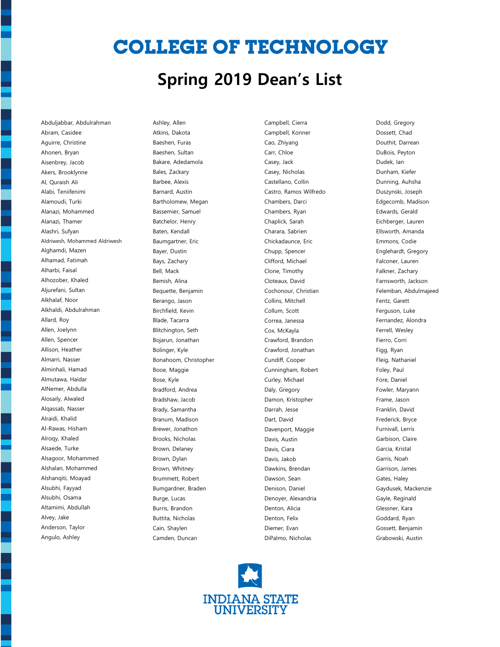## **COLLEGE OF TECHNOLOGY**

#### **Spring 2019 Dean's List**

Abduljabbar, Abdulrahman Abram, Casidee Aguirre, Christine Ahonen, Bryan Aisenbrey, Jacob Akers, Brooklynne Al, Quraish Ali Alabi, Teniifenimi Alamoudi, Turki Alanazi, Mohammed Alanazi, Thamer Alashri, Sufyan Aldriwesh, Mohammed Aldriwesh Alghamdi, Mazen Alhamad, Fatimah Alharbi, Faisal Alhozober, Khaled Aljurefani, Sultan Alkhalaf, Noor Alkhaldi, Abdulrahman Allard, Roy Allen, Joelynn Allen, Spencer Allison, Heather Almarri, Nasser Alminhali, Hamad Almutawa, Haidar AlNemer, Abdulla Alosaily, Alwaled Alqassab, Nasser Alraidi, Khalid Al-Rawas, Hisham Alroqy, Khaled Alsaede, Turke Alsagoor, Mohammed Alshalan, Mohammed Alshanqiti, Moayad Alsubhi, Fayyad Alsubhi, Osama Altamimi, Abdullah Alvey, Jake Anderson, Taylor Angulo, Ashley

Ashley, Allen Atkins, Dakota Baeshen, Furas Baeshen, Sultan Bakare, Adedamola Bales, Zackary Barbee, Alexis Barnard, Austin Bartholomew, Megan Bassemier, Samuel Batchelor, Henry Baten, Kendall Baumgartner, Eric Bayer, Dustin Bays, Zachary Bell, Mack Bemish, Alina Bequette, Benjamin Berango, Jason Birchfield, Kevin Blade, Tacarra Blitchington, Seth Bojarun, Jonathan Bolinger, Kyle Bonahoom, Christopher Booe, Maggie Bose, Kyle Bradford, Andrea Bradshaw, Jacob Brady, Samantha Branum, Madison Brewer, Jonathon Brooks, Nicholas Brown, Delaney Brown, Dylan Brown, Whitney Brummett, Robert Bumgardner, Braden Burge, Lucas Burris, Brandon Buttita, Nicholas Cain, Shaylen Camden, Duncan

Campbell, Cierra Campbell, Konner Cao, Zhiyang Carr, Chloe Casey, Jack Casey, Nicholas Castellano, Collin Castro, Ramos Wilfredo Chambers, Darci Chambers, Ryan Chaplick, Sarah Charara, Sabrien Chickadaunce, Eric Chupp, Spencer Clifford, Michael Clone, Timothy Cloteaux, David Cochonour, Christian Collins, Mitchell Collum, Scott Correa, Janessa Cox, McKayla Crawford, Brandon Crawford, Jonathan Cundiff, Cooper Cunningham, Robert Curley, Michael Daly, Gregory Damon, Kristopher Darrah, Jesse Dart, David Davenport, Maggie Davis, Austin Davis, Ciara Davis, Jakob Dawkins, Brendan Dawson, Sean Denison, Daniel Denoyer, Alexandria Denton, Alicia Denton, Felix Diemer, Evan DiPalmo, Nicholas

Dodd, Gregory Dossett, Chad Douthit, Darrean DuBois, Peyton Dudek, Ian Dunham, Kiefer Dunning, Auhsha Duszynski, Joseph Edgecomb, Madison Edwards, Gerald Eichberger, Lauren Ellsworth, Amanda Emmons, Codie Englehardt, Gregory Falconer, Lauren Falkner, Zachary Farnsworth, Jackson Felemban, Abdulmajeed Fentz, Garett Ferguson, Luke Fernandez, Alondra Ferrell, Wesley Fierro, Corri Figg, Ryan Fleig, Nathaniel Foley, Paul Fore, Daniel Fowler, Maryann Frame, Jason Franklin, David Frederick, Bryce Furnivall, Lerris Garbison, Claire Garcia, Kristal Garris, Noah Garrison, James Gates, Haley Gaydusek, Mackenzie Gayle, Reginald Glessner, Kara Goddard, Ryan Gossett, Benjamin Grabowski, Austin

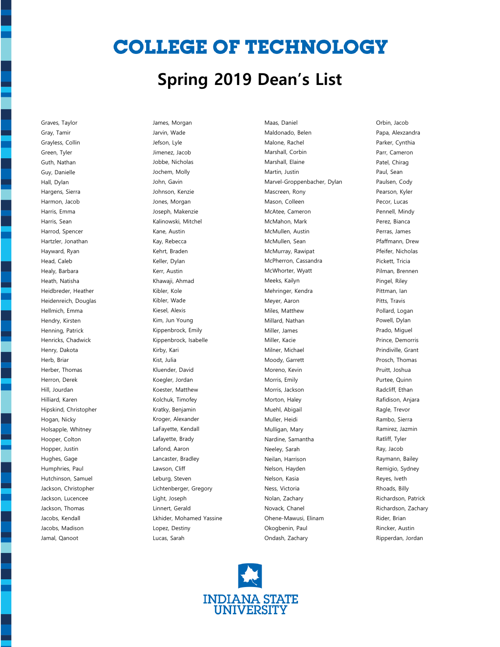# **COLLEGE OF TECHNOLOGY**

#### **Spring 2019 Dean's List**

Graves, Taylor Gray, Tamir Grayless, Collin Green, Tyler Guth, Nathan Guy, Danielle Hall, Dylan Hargens, Sierra Harmon, Jacob Harris, Emma Harris, Sean Harrod, Spencer Hartzler, Jonathan Hayward, Ryan Head, Caleb Healy, Barbara Heath, Natisha Heidbreder, Heather Heidenreich, Douglas Hellmich, Emma Hendry, Kirsten Henning, Patrick Henricks, Chadwick Henry, Dakota Herb, Briar Herber, Thomas Herron, Derek Hill, Jourdan Hilliard, Karen Hipskind, Christopher Hogan, Nicky Holsapple, Whitney Hooper, Colton Hopper, Justin Hughes, Gage Humphries, Paul Hutchinson, Samuel Jackson, Christopher Jackson, Lucencee Jackson, Thomas Jacobs, Kendall Jacobs, Madison Jamal, Qanoot

James, Morgan Jarvin, Wade Jefson, Lyle Jimenez, Jacob Jobbe, Nicholas Jochem, Molly John, Gavin Johnson, Kenzie Jones, Morgan Joseph, Makenzie Kalinowski, Mitchel Kane, Austin Kay, Rebecca Kehrt, Braden Keller, Dylan Kerr, Austin Khawaji, Ahmad Kibler, Kole Kibler, Wade Kiesel, Alexis Kim, Jun Young Kippenbrock, Emily Kippenbrock, Isabelle Kirby, Kari Kist, Julia Kluender, David Koegler, Jordan Koester, Matthew Kolchuk, Timofey Kratky, Benjamin Kroger, Alexander LaFayette, Kendall Lafayette, Brady Lafond, Aaron Lancaster, Bradley Lawson, Cliff Leburg, Steven Lichtenberger, Gregory Light, Joseph Linnert, Gerald Lkhider, Mohamed Yassine Lopez, Destiny Lucas, Sarah

Maas, Daniel Maldonado, Belen Malone, Rachel Marshall, Corbin Marshall, Elaine Martin, Justin Marvel-Groppenbacher, Dylan Mascreen, Rony Mason, Colleen McAtee, Cameron McMahon, Mark McMullen, Austin McMullen, Sean McMurray, Rawipat McPherron, Cassandra McWhorter, Wyatt Meeks, Kailyn Mehringer, Kendra Meyer, Aaron Miles, Matthew Millard, Nathan Miller, James Miller, Kacie Milner, Michael Moody, Garrett Moreno, Kevin Morris, Emily Morris, Jackson Morton, Haley Muehl, Abigail Muller, Heidi Mulligan, Mary Nardine, Samantha Neeley, Sarah Neilan, Harrison Nelson, Hayden Nelson, Kasia Ness, Victoria Nolan, Zachary Novack, Chanel Ohene-Mawusi, Elinam Okogbenin, Paul Ondash, Zachary

Orbin, Jacob Papa, Alexzandra Parker, Cynthia Parr, Cameron Patel, Chirag Paul, Sean Paulsen, Cody Pearson, Kyler Pecor, Lucas Pennell, Mindy Perez, Bianca Perras, James Pfaffmann, Drew Pfeifer, Nicholas Pickett, Tricia Pilman, Brennen Pingel, Riley Pittman, Ian Pitts, Travis Pollard, Logan Powell, Dylan Prado, Miguel Prince, Demorris Prindiville, Grant Prosch, Thomas Pruitt, Joshua Purtee, Quinn Radcliff, Ethan Rafidison, Anjara Ragle, Trevor Rambo, Sierra Ramirez, Jazmin Ratliff, Tyler Ray, Jacob Raymann, Bailey Remigio, Sydney Reyes, Iveth Rhoads, Billy Richardson, Patrick Richardson, Zachary Rider, Brian Rincker, Austin Ripperdan, Jordan